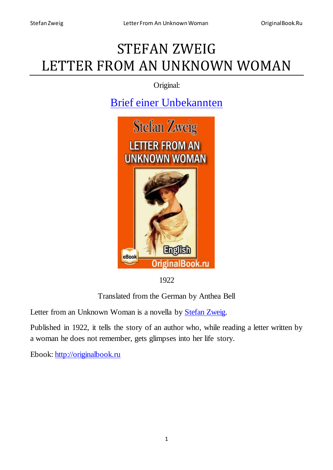## STEFAN ZWEIG LETTER FROM AN UNKNOWN WOMAN

Original:





1922

Translated from the German by Anthea Bell

Letter from an Unknown Woman is a novella by **Stefan Zweig**.

Published in 1922, it tells the story of an author who, while reading a letter written by a woman he does not remember, gets glimpses into her life story.

Ebook: [http://originalbook.ru](http://originalbook.ru/)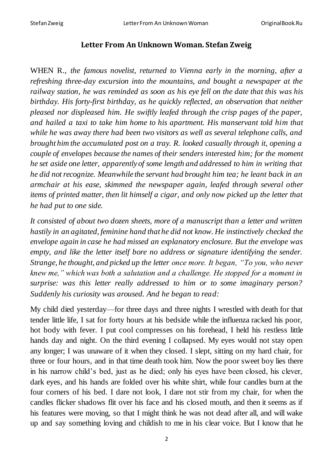## **Letter From An Unknown Woman. Stefan Zweig**

WHEN R., *the famous novelist, returned to Vienna early in the morning, after a refreshing three-day excursion into the mountains, and bought a newspaper at the railway station, he was reminded as soon as his eye fell on the date that this was his birthday. His forty-first birthday, as he quickly reflected, an observation that neither pleased nor displeased him. He swiftly leafed through the crisp pages of the paper, and hailed a taxi to take him home to his apartment. His manservant told him that while he was away there had been two visitors as well as several telephone calls, and brought him the accumulated post on a tray. R. looked casually through it, opening a couple of envelopes because the names of their senders interested him; for the moment he set aside one letter, apparently of some length and addressed to him in writing that he did not recognize. Meanwhile the servant had brought him tea; he leant back in an armchair at his ease, skimmed the newspaper again, leafed through several other items of printed matter, then lit himself a cigar, and only now picked up the letter that he had put to one side.*

*It consisted of about two dozen sheets, more of a manuscript than a letter and written hastily in an agitated, feminine hand that he did not know. He instinctively checked the envelope again in case he had missed an explanatory enclosure. But the envelope was empty, and like the letter itself bore no address or signature identifying the sender. Strange, he thought, and picked up the letter once more. It began, "To you, who never knew me," which was both a salutation and a challenge. He stopped for a moment in surprise: was this letter really addressed to him or to some imaginary person? Suddenly his curiosity was aroused. And he began to read:*

My child died yesterday—for three days and three nights I wrestled with death for that tender little life, I sat for forty hours at his bedside while the influenza racked his poor, hot body with fever. I put cool compresses on his forehead, I held his restless little hands day and night. On the third evening I collapsed. My eyes would not stay open any longer; I was unaware of it when they closed. I slept, sitting on my hard chair, for three or four hours, and in that time death took him. Now the poor sweet boy lies there in his narrow child's bed, just as he died; only his eyes have been closed, his clever, dark eyes, and his hands are folded over his white shirt, while four candles burn at the four corners of his bed. I dare not look, I dare not stir from my chair, for when the candles flicker shadows flit over his face and his closed mouth, and then it seems as if his features were moving, so that I might think he was not dead after all, and will wake up and say something loving and childish to me in his clear voice. But I know that he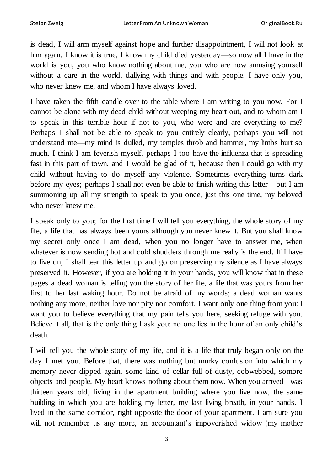is dead, I will arm myself against hope and further disappointment, I will not look at him again. I know it is true, I know my child died yesterday—so now all I have in the world is you, you who know nothing about me, you who are now amusing yourself without a care in the world, dallying with things and with people. I have only you, who never knew me, and whom I have always loved.

I have taken the fifth candle over to the table where I am writing to you now. For I cannot be alone with my dead child without weeping my heart out, and to whom am I to speak in this terrible hour if not to you, who were and are everything to me? Perhaps I shall not be able to speak to you entirely clearly, perhaps you will not understand me—my mind is dulled, my temples throb and hammer, my limbs hurt so much. I think I am feverish myself, perhaps I too have the influenza that is spreading fast in this part of town, and I would be glad of it, because then I could go with my child without having to do myself any violence. Sometimes everything turns dark before my eyes; perhaps I shall not even be able to finish writing this letter—but I am summoning up all my strength to speak to you once, just this one time, my beloved who never knew me.

I speak only to you; for the first time I will tell you everything, the whole story of my life, a life that has always been yours although you never knew it. But you shall know my secret only once I am dead, when you no longer have to answer me, when whatever is now sending hot and cold shudders through me really is the end. If I have to live on, I shall tear this letter up and go on preserving my silence as I have always preserved it. However, if you are holding it in your hands, you will know that in these pages a dead woman is telling you the story of her life, a life that was yours from her first to her last waking hour. Do not be afraid of my words; a dead woman wants nothing any more, neither love nor pity nor comfort. I want only one thing from you: I want you to believe everything that my pain tells you here, seeking refuge with you. Believe it all, that is the only thing I ask you: no one lies in the hour of an only child's death.

I will tell you the whole story of my life, and it is a life that truly began only on the day I met you. Before that, there was nothing but murky confusion into which my memory never dipped again, some kind of cellar full of dusty, cobwebbed, sombre objects and people. My heart knows nothing about them now. When you arrived I was thirteen years old, living in the apartment building where you live now, the same building in which you are holding my letter, my last living breath, in your hands. I lived in the same corridor, right opposite the door of your apartment. I am sure you will not remember us any more, an accountant's impoverished widow (my mother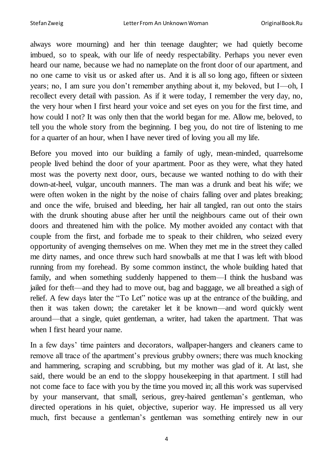always wore mourning) and her thin teenage daughter; we had quietly become imbued, so to speak, with our life of needy respectability. Perhaps you never even heard our name, because we had no nameplate on the front door of our apartment, and no one came to visit us or asked after us. And it is all so long ago, fifteen or sixteen years; no, I am sure you don't remember anything about it, my beloved, but I—oh, I recollect every detail with passion. As if it were today, I remember the very day, no, the very hour when I first heard your voice and set eyes on you for the first time, and how could I not? It was only then that the world began for me. Allow me, beloved, to tell you the whole story from the beginning. I beg you, do not tire of listening to me for a quarter of an hour, when I have never tired of loving you all my life.

Before you moved into our building a family of ugly, mean-minded, quarrelsome people lived behind the door of your apartment. Poor as they were, what they hated most was the poverty next door, ours, because we wanted nothing to do with their down-at-heel, vulgar, uncouth manners. The man was a drunk and beat his wife; we were often woken in the night by the noise of chairs falling over and plates breaking; and once the wife, bruised and bleeding, her hair all tangled, ran out onto the stairs with the drunk shouting abuse after her until the neighbours came out of their own doors and threatened him with the police. My mother avoided any contact with that couple from the first, and forbade me to speak to their children, who seized every opportunity of avenging themselves on me. When they met me in the street they called me dirty names, and once threw such hard snowballs at me that I was left with blood running from my forehead. By some common instinct, the whole building hated that family, and when something suddenly happened to them—I think the husband was jailed for theft—and they had to move out, bag and baggage, we all breathed a sigh of relief. A few days later the "To Let" notice was up at the entrance of the building, and then it was taken down; the caretaker let it be known—and word quickly went around—that a single, quiet gentleman, a writer, had taken the apartment. That was when I first heard your name.

In a few days' time painters and decorators, wallpaper-hangers and cleaners came to remove all trace of the apartment's previous grubby owners; there was much knocking and hammering, scraping and scrubbing, but my mother was glad of it. At last, she said, there would be an end to the sloppy housekeeping in that apartment. I still had not come face to face with you by the time you moved in; all this work was supervised by your manservant, that small, serious, grey-haired gentleman's gentleman, who directed operations in his quiet, objective, superior way. He impressed us all very much, first because a gentleman's gentleman was something entirely new in our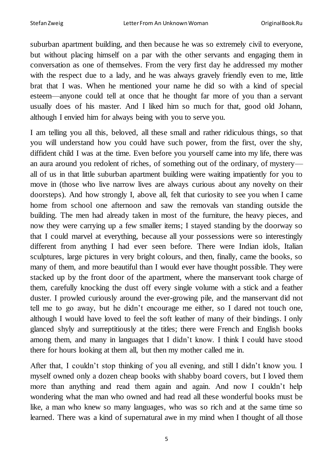suburban apartment building, and then because he was so extremely civil to everyone, but without placing himself on a par with the other servants and engaging them in conversation as one of themselves. From the very first day he addressed my mother with the respect due to a lady, and he was always gravely friendly even to me, little brat that I was. When he mentioned your name he did so with a kind of special esteem—anyone could tell at once that he thought far more of you than a servant usually does of his master. And I liked him so much for that, good old Johann, although I envied him for always being with you to serve you.

I am telling you all this, beloved, all these small and rather ridiculous things, so that you will understand how you could have such power, from the first, over the shy, diffident child I was at the time. Even before you yourself came into my life, there was an aura around you redolent of riches, of something out of the ordinary, of mystery all of us in that little suburban apartment building were waiting impatiently for you to move in (those who live narrow lives are always curious about any novelty on their doorsteps). And how strongly I, above all, felt that curiosity to see you when I came home from school one afternoon and saw the removals van standing outside the building. The men had already taken in most of the furniture, the heavy pieces, and now they were carrying up a few smaller items; I stayed standing by the doorway so that I could marvel at everything, because all your possessions were so interestingly different from anything I had ever seen before. There were Indian idols, Italian sculptures, large pictures in very bright colours, and then, finally, came the books, so many of them, and more beautiful than I would ever have thought possible. They were stacked up by the front door of the apartment, where the manservant took charge of them, carefully knocking the dust off every single volume with a stick and a feather duster. I prowled curiously around the ever-growing pile, and the manservant did not tell me to go away, but he didn't encourage me either, so I dared not touch one, although I would have loved to feel the soft leather of many of their bindings. I only glanced shyly and surreptitiously at the titles; there were French and English books among them, and many in languages that I didn't know. I think I could have stood there for hours looking at them all, but then my mother called me in.

After that, I couldn't stop thinking of you all evening, and still I didn't know you. I myself owned only a dozen cheap books with shabby board covers, but I loved them more than anything and read them again and again. And now I couldn't help wondering what the man who owned and had read all these wonderful books must be like, a man who knew so many languages, who was so rich and at the same time so learned. There was a kind of supernatural awe in my mind when I thought of all those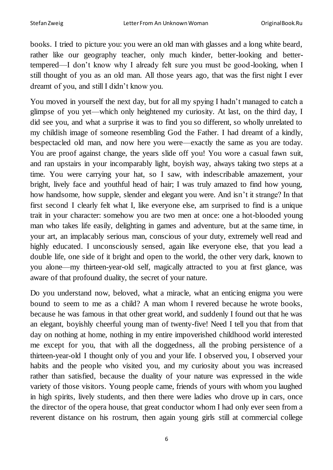books. I tried to picture you: you were an old man with glasses and a long white beard, rather like our geography teacher, only much kinder, better-looking and bettertempered—I don't know why I already felt sure you must be good-looking, when I still thought of you as an old man. All those years ago, that was the first night I ever dreamt of you, and still I didn't know you.

You moved in yourself the next day, but for all my spying I hadn't managed to catch a glimpse of you yet—which only heightened my curiosity. At last, on the third day, I did see you, and what a surprise it was to find you so different, so wholly unrelated to my childish image of someone resembling God the Father. I had dreamt of a kindly, bespectacled old man, and now here you were—exactly the same as you are today. You are proof against change, the years slide off you! You wore a casual fawn suit, and ran upstairs in your incomparably light, boyish way, always taking two steps at a time. You were carrying your hat, so I saw, with indescribable amazement, your bright, lively face and youthful head of hair; I was truly amazed to find how young, how handsome, how supple, slender and elegant you were. And isn't it strange? In that first second I clearly felt what I, like everyone else, am surprised to find is a unique trait in your character: somehow you are two men at once: one a hot-blooded young man who takes life easily, delighting in games and adventure, but at the same time, in your art, an implacably serious man, conscious of your duty, extremely well read and highly educated. I unconsciously sensed, again like everyone else, that you lead a double life, one side of it bright and open to the world, the other very dark, known to you alone—my thirteen-year-old self, magically attracted to you at first glance, was aware of that profound duality, the secret of your nature.

Do you understand now, beloved, what a miracle, what an enticing enigma you were bound to seem to me as a child? A man whom I revered because he wrote books, because he was famous in that other great world, and suddenly I found out that he was an elegant, boyishly cheerful young man of twenty-five! Need I tell you that from that day on nothing at home, nothing in my entire impoverished childhood world interested me except for you, that with all the doggedness, all the probing persistence of a thirteen-year-old I thought only of you and your life. I observed you, I observed your habits and the people who visited you, and my curiosity about you was increased rather than satisfied, because the duality of your nature was expressed in the wide variety of those visitors. Young people came, friends of yours with whom you laughed in high spirits, lively students, and then there were ladies who drove up in cars, once the director of the opera house, that great conductor whom I had only ever seen from a reverent distance on his rostrum, then again young girls still at commercial college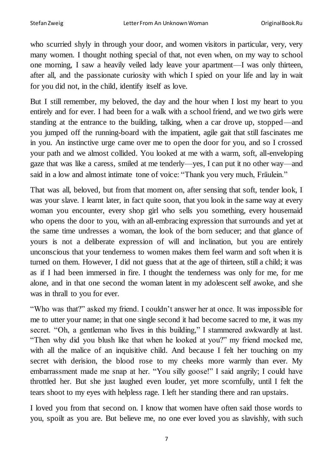who scurried shyly in through your door, and women visitors in particular, very, very many women. I thought nothing special of that, not even when, on my way to school one morning, I saw a heavily veiled lady leave your apartment—I was only thirteen, after all, and the passionate curiosity with which I spied on your life and lay in wait for you did not, in the child, identify itself as love.

But I still remember, my beloved, the day and the hour when I lost my heart to you entirely and for ever. I had been for a walk with a school friend, and we two girls were standing at the entrance to the building, talking, when a car drove up, stopped—and you jumped off the running-board with the impatient, agile gait that still fascinates me in you. An instinctive urge came over me to open the door for you, and so I crossed your path and we almost collided. You looked at me with a warm, soft, all-enveloping gaze that was like a caress, smiled at me tenderly—yes, I can put it no other way—and said in a low and almost intimate tone of voice: "Thank you very much, Fräulein."

That was all, beloved, but from that moment on, after sensing that soft, tender look, I was your slave. I learnt later, in fact quite soon, that you look in the same way at every woman you encounter, every shop girl who sells you something, every housemaid who opens the door to you, with an all-embracing expression that surrounds and yet at the same time undresses a woman, the look of the born seducer; and that glance of yours is not a deliberate expression of will and inclination, but you are entirely unconscious that your tenderness to women makes them feel warm and soft when it is turned on them. However, I did not guess that at the age of thirteen, still a child; it was as if I had been immersed in fire. I thought the tenderness was only for me, for me alone, and in that one second the woman latent in my adolescent self awoke, and she was in thrall to you for ever.

"Who was that?" asked my friend. I couldn't answer her at once. It was impossible for me to utter your name; in that one single second it had become sacred to me, it was my secret. "Oh, a gentleman who lives in this building," I stammered awkwardly at last. "Then why did you blush like that when he looked at you?" my friend mocked me, with all the malice of an inquisitive child. And because I felt her touching on my secret with derision, the blood rose to my cheeks more warmly than ever. My embarrassment made me snap at her. "You silly goose!" I said angrily; I could have throttled her. But she just laughed even louder, yet more scornfully, until I felt the tears shoot to my eyes with helpless rage. I left her standing there and ran upstairs.

I loved you from that second on. I know that women have often said those words to you, spoilt as you are. But believe me, no one ever loved you as slavishly, with such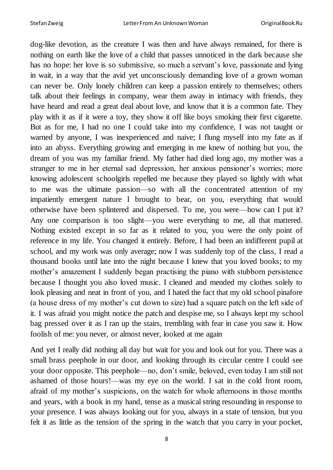dog-like devotion, as the creature I was then and have always remained, for there is nothing on earth like the love of a child that passes unnoticed in the dark because she has no hope: her love is so submissive, so much a servant's love, passionate and lying in wait, in a way that the avid yet unconsciously demanding love of a grown woman can never be. Only lonely children can keep a passion entirely to themselves; others talk about their feelings in company, wear them away in intimacy with friends, they have heard and read a great deal about love, and know that it is a common fate. They play with it as if it were a toy, they show it off like boys smoking their first cigarette. But as for me, I had no one I could take into my confidence, I was not taught or warned by anyone, I was inexperienced and naive; I flung myself into my fate as if into an abyss. Everything growing and emerging in me knew of nothing but you, the dream of you was my familiar friend. My father had died long ago, my mother was a stranger to me in her eternal sad depression, her anxious pensioner's worries; more knowing adolescent schoolgirls repelled me because they played so lightly with what to me was the ultimate passion—so with all the concentrated attention of my impatiently emergent nature I brought to bear, on you, everything that would otherwise have been splintered and dispersed. To me, you were—how can I put it? Any one comparison is too slight—you were everything to me, all that mattered. Nothing existed except in so far as it related to you, you were the only point of reference in my life. You changed it entirely. Before, I had been an indifferent pupil at school, and my work was only average; now I was suddenly top of the class, I read a thousand books until late into the night because I knew that you loved books; to my mother's amazement I suddenly began practising the piano with stubborn persistence because I thought you also loved music. I cleaned and mended my clothes solely to look pleasing and neat in front of you, and I hated the fact that my old school pinafore (a house dress of my mother's cut down to size) had a square patch on the left side of it. I was afraid you might notice the patch and despise me, so I always kept my school bag pressed over it as I ran up the stairs, trembling with fear in case you saw it. How foolish of me: you never, or almost never, looked at me again

And yet I really did nothing all day but wait for you and look out for you. There was a small brass peephole in our door, and looking through its circular centre I could see your door opposite. This peephole—no, don't smile, beloved, even today I am still not ashamed of those hours!—was my eye on the world. I sat in the cold front room, afraid of my mother's suspicions, on the watch for whole afternoons in those months and years, with a book in my hand, tense as a musical string resounding in response to your presence. I was always looking out for you, always in a state of tension, but you felt it as little as the tension of the spring in the watch that you carry in your pocket,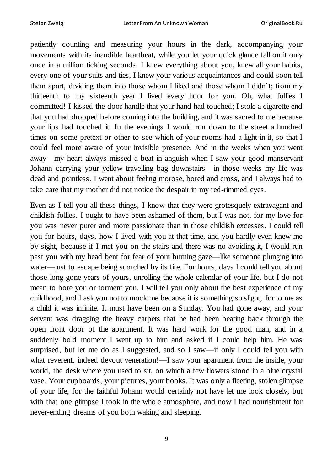patiently counting and measuring your hours in the dark, accompanying your movements with its inaudible heartbeat, while you let your quick glance fall on it only once in a million ticking seconds. I knew everything about you, knew all your habits, every one of your suits and ties, I knew your various acquaintances and could soon tell them apart, dividing them into those whom I liked and those whom I didn't; from my thirteenth to my sixteenth year I lived every hour for you. Oh, what follies I committed! I kissed the door handle that your hand had touched; I stole a cigarette end that you had dropped before coming into the building, and it was sacred to me because your lips had touched it. In the evenings I would run down to the street a hundred times on some pretext or other to see which of your rooms had a light in it, so that I could feel more aware of your invisible presence. And in the weeks when you went away—my heart always missed a beat in anguish when I saw your good manservant Johann carrying your yellow travelling bag downstairs—in those weeks my life was dead and pointless. I went about feeling morose, bored and cross, and I always had to take care that my mother did not notice the despair in my red-rimmed eyes.

Even as I tell you all these things, I know that they were grotesquely extravagant and childish follies. I ought to have been ashamed of them, but I was not, for my love for you was never purer and more passionate than in those childish excesses. I could tell you for hours, days, how I lived with you at that time, and you hardly even knew me by sight, because if I met you on the stairs and there was no avoiding it, I would run past you with my head bent for fear of your burning gaze—like someone plunging into water—just to escape being scorched by its fire. For hours, days I could tell you about those long-gone years of yours, unrolling the whole calendar of your life, but I do not mean to bore you or torment you. I will tell you only about the best experience of my childhood, and I ask you not to mock me because it is something so slight, for to me as a child it was infinite. It must have been on a Sunday. You had gone away, and your servant was dragging the heavy carpets that he had been beating back through the open front door of the apartment. It was hard work for the good man, and in a suddenly bold moment I went up to him and asked if I could help him. He was surprised, but let me do as I suggested, and so I saw—if only I could tell you with what reverent, indeed devout veneration!—I saw your apartment from the inside, your world, the desk where you used to sit, on which a few flowers stood in a blue crystal vase. Your cupboards, your pictures, your books. It was only a fleeting, stolen glimpse of your life, for the faithful Johann would certainly not have let me look closely, but with that one glimpse I took in the whole atmosphere, and now I had nourishment for never-ending dreams of you both waking and sleeping.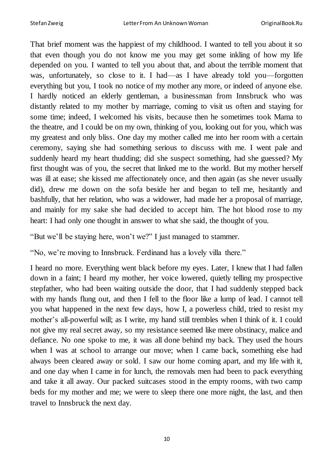That brief moment was the happiest of my childhood. I wanted to tell you about it so that even though you do not know me you may get some inkling of how my life depended on you. I wanted to tell you about that, and about the terrible moment that was, unfortunately, so close to it. I had—as I have already told you—forgotten everything but you, I took no notice of my mother any more, or indeed of anyone else. I hardly noticed an elderly gentleman, a businessman from Innsbruck who was distantly related to my mother by marriage, coming to visit us often and staying for some time; indeed, I welcomed his visits, because then he sometimes took Mama to the theatre, and I could be on my own, thinking of you, looking out for you, which was my greatest and only bliss. One day my mother called me into her room with a certain ceremony, saying she had something serious to discuss with me. I went pale and suddenly heard my heart thudding; did she suspect something, had she guessed? My first thought was of you, the secret that linked me to the world. But my mother herself was ill at ease; she kissed me affectionately once, and then again (as she never usually did), drew me down on the sofa beside her and began to tell me, hesitantly and bashfully, that her relation, who was a widower, had made her a proposal of marriage, and mainly for my sake she had decided to accept him. The hot blood rose to my heart: I had only one thought in answer to what she said, the thought of you.

"But we'll be staying here, won't we?" I just managed to stammer.

"No, we're moving to Innsbruck. Ferdinand has a lovely villa there."

I heard no more. Everything went black before my eyes. Later, I knew that I had fallen down in a faint; I heard my mother, her voice lowered, quietly telling my prospective stepfather, who had been waiting outside the door, that I had suddenly stepped back with my hands flung out, and then I fell to the floor like a lump of lead. I cannot tell you what happened in the next few days, how I, a powerless child, tried to resist my mother's all-powerful will; as I write, my hand still trembles when I think of it. I could not give my real secret away, so my resistance seemed like mere obstinacy, malice and defiance. No one spoke to me, it was all done behind my back. They used the hours when I was at school to arrange our move; when I came back, something else had always been cleared away or sold. I saw our home coming apart, and my life with it, and one day when I came in for lunch, the removals men had been to pack everything and take it all away. Our packed suitcases stood in the empty rooms, with two camp beds for my mother and me; we were to sleep there one more night, the last, and then travel to Innsbruck the next day.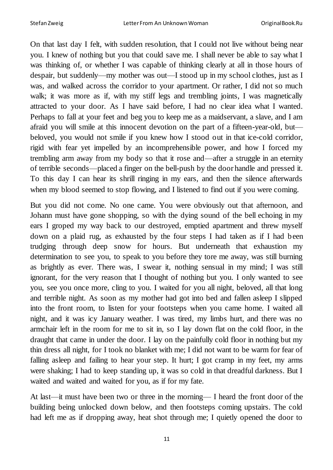On that last day I felt, with sudden resolution, that I could not live without being near you. I knew of nothing but you that could save me. I shall never be able to say what I was thinking of, or whether I was capable of thinking clearly at all in those hours of despair, but suddenly—my mother was out—I stood up in my school clothes, just as I was, and walked across the corridor to your apartment. Or rather, I did not so much walk; it was more as if, with my stiff legs and trembling joints, I was magnetically attracted to your door. As I have said before, I had no clear idea what I wanted. Perhaps to fall at your feet and beg you to keep me as a maidservant, a slave, and I am afraid you will smile at this innocent devotion on the part of a fifteen-year-old, but beloved, you would not smile if you knew how I stood out in that ice-cold corridor, rigid with fear yet impelled by an incomprehensible power, and how I forced my trembling arm away from my body so that it rose and—after a struggle in an eternity of terrible seconds—placed a finger on the bell-push by the door handle and pressed it. To this day I can hear its shrill ringing in my ears, and then the silence afterwards when my blood seemed to stop flowing, and I listened to find out if you were coming.

But you did not come. No one came. You were obviously out that afternoon, and Johann must have gone shopping, so with the dying sound of the bell echoing in my ears I groped my way back to our destroyed, emptied apartment and threw myself down on a plaid rug, as exhausted by the four steps I had taken as if I had been trudging through deep snow for hours. But underneath that exhaustion my determination to see you, to speak to you before they tore me away, was still burning as brightly as ever. There was, I swear it, nothing sensual in my mind; I was still ignorant, for the very reason that I thought of nothing but you. I only wanted to see you, see you once more, cling to you. I waited for you all night, beloved, all that long and terrible night. As soon as my mother had got into bed and fallen asleep I slipped into the front room, to listen for your footsteps when you came home. I waited all night, and it was icy January weather. I was tired, my limbs hurt, and there was no armchair left in the room for me to sit in, so I lay down flat on the cold floor, in the draught that came in under the door. I lay on the painfully cold floor in nothing but my thin dress all night, for I took no blanket with me; I did not want to be warm for fear of falling asleep and failing to hear your step. It hurt; I got cramp in my feet, my arms were shaking; I had to keep standing up, it was so cold in that dreadful darkness. But I waited and waited and waited for you, as if for my fate.

At last—it must have been two or three in the morning— I heard the front door of the building being unlocked down below, and then footsteps coming upstairs. The cold had left me as if dropping away, heat shot through me; I quietly opened the door to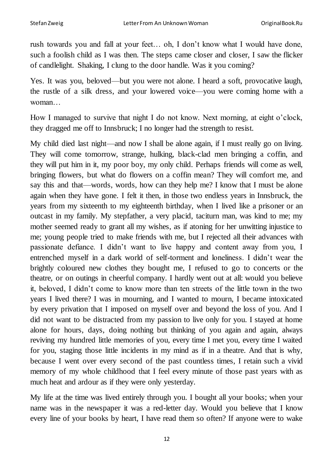rush towards you and fall at your feet… oh, I don't know what I would have done, such a foolish child as I was then. The steps came closer and closer, I saw the flicker of candlelight. Shaking, I clung to the door handle. Was it you coming?

Yes. It was you, beloved—but you were not alone. I heard a soft, provocative laugh, the rustle of a silk dress, and your lowered voice—you were coming home with a woman…

How I managed to survive that night I do not know. Next morning, at eight o'clock, they dragged me off to Innsbruck; I no longer had the strength to resist.

My child died last night—and now I shall be alone again, if I must really go on living. They will come tomorrow, strange, hulking, black-clad men bringing a coffin, and they will put him in it, my poor boy, my only child. Perhaps friends will come as well, bringing flowers, but what do flowers on a coffin mean? They will comfort me, and say this and that—words, words, how can they help me? I know that I must be alone again when they have gone. I felt it then, in those two endless years in Innsbruck, the years from my sixteenth to my eighteenth birthday, when I lived like a prisoner or an outcast in my family. My stepfather, a very placid, taciturn man, was kind to me; my mother seemed ready to grant all my wishes, as if atoning for her unwitting injustice to me; young people tried to make friends with me, but I rejected all their advances with passionate defiance. I didn't want to live happy and content away from you, I entrenched myself in a dark world of self-torment and loneliness. I didn't wear the brightly coloured new clothes they bought me, I refused to go to concerts or the theatre, or on outings in cheerful company. I hardly went out at all: would you believe it, beloved, I didn't come to know more than ten streets of the little town in the two years I lived there? I was in mourning, and I wanted to mourn, I became intoxicated by every privation that I imposed on myself over and beyond the loss of you. And I did not want to be distracted from my passion to live only for you. I stayed at home alone for hours, days, doing nothing but thinking of you again and again, always reviving my hundred little memories of you, every time I met you, every time I waited for you, staging those little incidents in my mind as if in a theatre. And that is why, because I went over every second of the past countless times, I retain such a vivid memory of my whole childhood that I feel every minute of those past years with as much heat and ardour as if they were only yesterday.

My life at the time was lived entirely through you. I bought all your books; when your name was in the newspaper it was a red-letter day. Would you believe that I know every line of your books by heart, I have read them so often? If anyone were to wake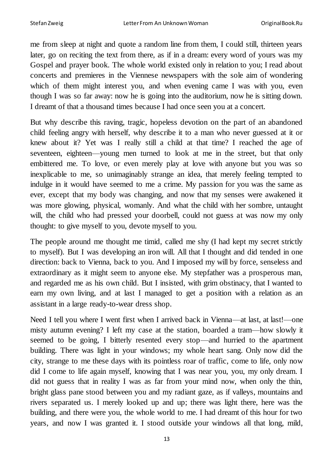me from sleep at night and quote a random line from them, I could still, thirteen years later, go on reciting the text from there, as if in a dream: every word of yours was my Gospel and prayer book. The whole world existed only in relation to you; I read about concerts and premieres in the Viennese newspapers with the sole aim of wondering which of them might interest you, and when evening came I was with you, even though I was so far away: now he is going into the auditorium, now he is sitting down. I dreamt of that a thousand times because I had once seen you at a concert.

But why describe this raving, tragic, hopeless devotion on the part of an abandoned child feeling angry with herself, why describe it to a man who never guessed at it or knew about it? Yet was I really still a child at that time? I reached the age of seventeen, eighteen—young men turned to look at me in the street, but that only embittered me. To love, or even merely play at love with anyone but you was so inexplicable to me, so unimaginably strange an idea, that merely feeling tempted to indulge in it would have seemed to me a crime. My passion for you was the same as ever, except that my body was changing, and now that my senses were awakened it was more glowing, physical, womanly. And what the child with her sombre, untaught will, the child who had pressed your doorbell, could not guess at was now my only thought: to give myself to you, devote myself to you.

The people around me thought me timid, called me shy (I had kept my secret strictly to myself). But I was developing an iron will. All that I thought and did tended in one direction: back to Vienna, back to you. And I imposed my will by force, senseless and extraordinary as it might seem to anyone else. My stepfather was a prosperous man, and regarded me as his own child. But I insisted, with grim obstinacy, that I wanted to earn my own living, and at last I managed to get a position with a relation as an assistant in a large ready-to-wear dress shop.

Need I tell you where I went first when I arrived back in Vienna—at last, at last!—one misty autumn evening? I left my case at the station, boarded a tram—how slowly it seemed to be going, I bitterly resented every stop—and hurried to the apartment building. There was light in your windows; my whole heart sang. Only now did the city, strange to me these days with its pointless roar of traffic, come to life, only now did I come to life again myself, knowing that I was near you, you, my only dream. I did not guess that in reality I was as far from your mind now, when only the thin, bright glass pane stood between you and my radiant gaze, as if valleys, mountains and rivers separated us. I merely looked up and up; there was light there, here was the building, and there were you, the whole world to me. I had dreamt of this hour for two years, and now I was granted it. I stood outside your windows all that long, mild,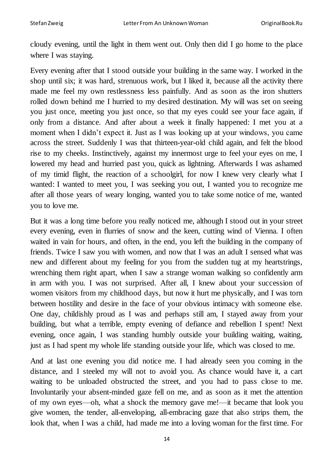cloudy evening, until the light in them went out. Only then did I go home to the place where I was staying.

Every evening after that I stood outside your building in the same way. I worked in the shop until six; it was hard, strenuous work, but I liked it, because all the activity there made me feel my own restlessness less painfully. And as soon as the iron shutters rolled down behind me I hurried to my desired destination. My will was set on seeing you just once, meeting you just once, so that my eyes could see your face again, if only from a distance. And after about a week it finally happened: I met you at a moment when I didn't expect it. Just as I was looking up at your windows, you came across the street. Suddenly I was that thirteen-year-old child again, and felt the blood rise to my cheeks. Instinctively, against my innermost urge to feel your eyes on me, I lowered my head and hurried past you, quick as lightning. Afterwards I was ashamed of my timid flight, the reaction of a schoolgirl, for now I knew very clearly what I wanted: I wanted to meet you, I was seeking you out, I wanted you to recognize me after all those years of weary longing, wanted you to take some notice of me, wanted you to love me.

But it was a long time before you really noticed me, although I stood out in your street every evening, even in flurries of snow and the keen, cutting wind of Vienna. I often waited in vain for hours, and often, in the end, you left the building in the company of friends. Twice I saw you with women, and now that I was an adult I sensed what was new and different about my feeling for you from the sudden tug at my heartstrings, wrenching them right apart, when I saw a strange woman walking so confidently arm in arm with you. I was not surprised. After all, I knew about your succession of women visitors from my childhood days, but now it hurt me physically, and I was torn between hostility and desire in the face of your obvious intimacy with someone else. One day, childishly proud as I was and perhaps still am, I stayed away from your building, but what a terrible, empty evening of defiance and rebellion I spent! Next evening, once again, I was standing humbly outside your building waiting, waiting, just as I had spent my whole life standing outside your life, which was closed to me.

And at last one evening you did notice me. I had already seen you coming in the distance, and I steeled my will not to avoid you. As chance would have it, a cart waiting to be unloaded obstructed the street, and you had to pass close to me. Involuntarily your absent-minded gaze fell on me, and as soon as it met the attention of my own eyes—oh, what a shock the memory gave me!—it became that look you give women, the tender, all-enveloping, all-embracing gaze that also strips them, the look that, when I was a child, had made me into a loving woman for the first time. For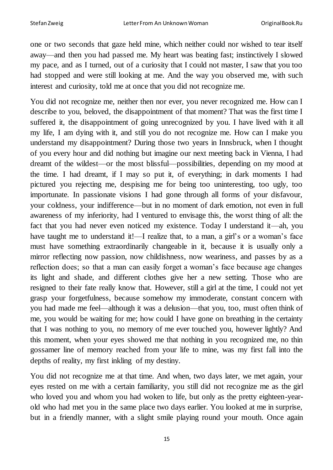one or two seconds that gaze held mine, which neither could nor wished to tear itself away—and then you had passed me. My heart was beating fast; instinctively I slowed my pace, and as I turned, out of a curiosity that I could not master, I saw that you too had stopped and were still looking at me. And the way you observed me, with such interest and curiosity, told me at once that you did not recognize me.

You did not recognize me, neither then nor ever, you never recognized me. How can I describe to you, beloved, the disappointment of that moment? That was the first time I suffered it, the disappointment of going unrecognized by you. I have lived with it all my life, I am dying with it, and still you do not recognize me. How can I make you understand my disappointment? During those two years in Innsbruck, when I thought of you every hour and did nothing but imagine our next meeting back in Vienna, I had dreamt of the wildest—or the most blissful—possibilities, depending on my mood at the time. I had dreamt, if I may so put it, of everything; in dark moments I had pictured you rejecting me, despising me for being too uninteresting, too ugly, too importunate. In passionate visions I had gone through all forms of your disfavour, your coldness, your indifference—but in no moment of dark emotion, not even in full awareness of my inferiority, had I ventured to envisage this, the worst thing of all: the fact that you had never even noticed my existence. Today I understand it—ah, you have taught me to understand it!—I realize that, to a man, a girl's or a woman's face must have something extraordinarily changeable in it, because it is usually only a mirror reflecting now passion, now childishness, now weariness, and passes by as a reflection does; so that a man can easily forget a woman's face because age changes its light and shade, and different clothes give her a new setting. Those who are resigned to their fate really know that. However, still a girl at the time, I could not yet grasp your forgetfulness, because somehow my immoderate, constant concern with you had made me feel—although it was a delusion—that you, too, must often think of me, you would be waiting for me; how could I have gone on breathing in the certainty that I was nothing to you, no memory of me ever touched you, however lightly? And this moment, when your eyes showed me that nothing in you recognized me, no thin gossamer line of memory reached from your life to mine, was my first fall into the depths of reality, my first inkling of my destiny.

You did not recognize me at that time. And when, two days later, we met again, your eyes rested on me with a certain familiarity, you still did not recognize me as the girl who loved you and whom you had woken to life, but only as the pretty eighteen-yearold who had met you in the same place two days earlier. You looked at me in surprise, but in a friendly manner, with a slight smile playing round your mouth. Once again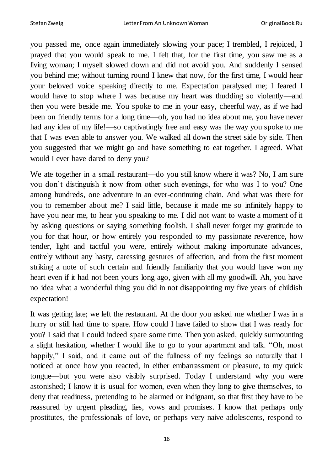you passed me, once again immediately slowing your pace; I trembled, I rejoiced, I prayed that you would speak to me. I felt that, for the first time, you saw me as a living woman; I myself slowed down and did not avoid you. And suddenly I sensed you behind me; without turning round I knew that now, for the first time, I would hear your beloved voice speaking directly to me. Expectation paralysed me; I feared I would have to stop where I was because my heart was thudding so violently—and then you were beside me. You spoke to me in your easy, cheerful way, as if we had been on friendly terms for a long time—oh, you had no idea about me, you have never had any idea of my life!—so captivatingly free and easy was the way you spoke to me that I was even able to answer you. We walked all down the street side by side. Then you suggested that we might go and have something to eat together. I agreed. What would I ever have dared to deny you?

We ate together in a small restaurant—do you still know where it was? No, I am sure you don't distinguish it now from other such evenings, for who was I to you? One among hundreds, one adventure in an ever-continuing chain. And what was there for you to remember about me? I said little, because it made me so infinitely happy to have you near me, to hear you speaking to me. I did not want to waste a moment of it by asking questions or saying something foolish. I shall never forget my gratitude to you for that hour, or how entirely you responded to my passionate reverence, how tender, light and tactful you were, entirely without making importunate advances, entirely without any hasty, caressing gestures of affection, and from the first moment striking a note of such certain and friendly familiarity that you would have won my heart even if it had not been yours long ago, given with all my goodwill. Ah, you have no idea what a wonderful thing you did in not disappointing my five years of childish expectation!

It was getting late; we left the restaurant. At the door you asked me whether I was in a hurry or still had time to spare. How could I have failed to show that I was ready for you? I said that I could indeed spare some time. Then you asked, quickly surmounting a slight hesitation, whether I would like to go to your apartment and talk. "Oh, most happily," I said, and it came out of the fullness of my feelings so naturally that I noticed at once how you reacted, in either embarrassment or pleasure, to my quick tongue—but you were also visibly surprised. Today I understand why you were astonished; I know it is usual for women, even when they long to give themselves, to deny that readiness, pretending to be alarmed or indignant, so that first they have to be reassured by urgent pleading, lies, vows and promises. I know that perhaps only prostitutes, the professionals of love, or perhaps very naive adolescents, respond to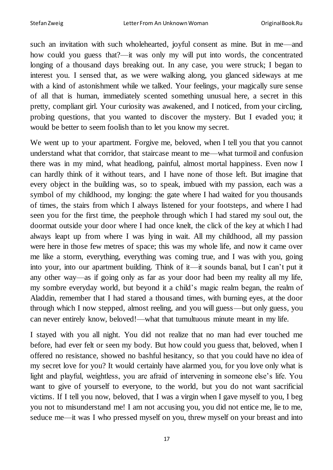such an invitation with such wholehearted, joyful consent as mine. But in me—and how could you guess that?—it was only my will put into words, the concentrated longing of a thousand days breaking out. In any case, you were struck; I began to interest you. I sensed that, as we were walking along, you glanced sideways at me with a kind of astonishment while we talked. Your feelings, your magically sure sense of all that is human, immediately scented something unusual here, a secret in this pretty, compliant girl. Your curiosity was awakened, and I noticed, from your circling, probing questions, that you wanted to discover the mystery. But I evaded you; it would be better to seem foolish than to let you know my secret.

We went up to your apartment. Forgive me, beloved, when I tell you that you cannot understand what that corridor, that staircase meant to me—what turmoil and confusion there was in my mind, what headlong, painful, almost mortal happiness. Even now I can hardly think of it without tears, and I have none of those left. But imagine that every object in the building was, so to speak, imbued with my passion, each was a symbol of my childhood, my longing: the gate where I had waited for you thousands of times, the stairs from which I always listened for your footsteps, and where I had seen you for the first time, the peephole through which I had stared my soul out, the doormat outside your door where I had once knelt, the click of the key at which I had always leapt up from where I was lying in wait. All my childhood, all my passion were here in those few metres of space; this was my whole life, and now it came over me like a storm, everything, everything was coming true, and I was with you, going into your, into our apartment building. Think of it—it sounds banal, but I can't put it any other way—as if going only as far as your door had been my reality all my life, my sombre everyday world, but beyond it a child's magic realm began, the realm of Aladdin, remember that I had stared a thousand times, with burning eyes, at the door through which I now stepped, almost reeling, and you will guess—but only guess, you can never entirely know, beloved!—what that tumultuous minute meant in my life.

I stayed with you all night. You did not realize that no man had ever touched me before, had ever felt or seen my body. But how could you guess that, beloved, when I offered no resistance, showed no bashful hesitancy, so that you could have no idea of my secret love for you? It would certainly have alarmed you, for you love only what is light and playful, weightless, you are afraid of intervening in someone else's life. You want to give of yourself to everyone, to the world, but you do not want sacrificial victims. If I tell you now, beloved, that I was a virgin when I gave myself to you, I beg you not to misunderstand me! I am not accusing you, you did not entice me, lie to me, seduce me—it was I who pressed myself on you, threw myself on your breast and into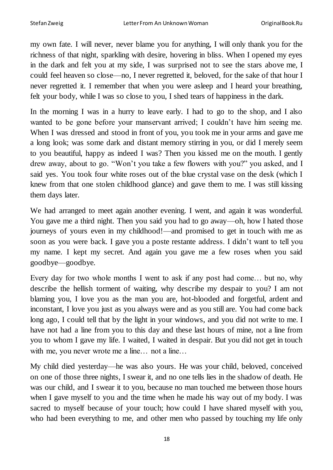my own fate. I will never, never blame you for anything, I will only thank you for the richness of that night, sparkling with desire, hovering in bliss. When I opened my eyes in the dark and felt you at my side, I was surprised not to see the stars above me, I could feel heaven so close—no, I never regretted it, beloved, for the sake of that hour I never regretted it. I remember that when you were asleep and I heard your breathing, felt your body, while I was so close to you, I shed tears of happiness in the dark.

In the morning I was in a hurry to leave early. I had to go to the shop, and I also wanted to be gone before your manservant arrived; I couldn't have him seeing me. When I was dressed and stood in front of you, you took me in your arms and gave me a long look; was some dark and distant memory stirring in you, or did I merely seem to you beautiful, happy as indeed I was? Then you kissed me on the mouth. I gently drew away, about to go. "Won't you take a few flowers with you?" you asked, and I said yes. You took four white roses out of the blue crystal vase on the desk (which I knew from that one stolen childhood glance) and gave them to me. I was still kissing them days later.

We had arranged to meet again another evening. I went, and again it was wonderful. You gave me a third night. Then you said you had to go away—oh, how I hated those journeys of yours even in my childhood!—and promised to get in touch with me as soon as you were back. I gave you a poste restante address. I didn't want to tell you my name. I kept my secret. And again you gave me a few roses when you said goodbye—goodbye.

Every day for two whole months I went to ask if any post had come… but no, why describe the hellish torment of waiting, why describe my despair to you? I am not blaming you, I love you as the man you are, hot-blooded and forgetful, ardent and inconstant, I love you just as you always were and as you still are. You had come back long ago, I could tell that by the light in your windows, and you did not write to me. I have not had a line from you to this day and these last hours of mine, not a line from you to whom I gave my life. I waited, I waited in despair. But you did not get in touch with me, you never wrote me a line... not a line...

My child died yesterday—he was also yours. He was your child, beloved, conceived on one of those three nights, I swear it, and no one tells lies in the shadow of death. He was our child, and I swear it to you, because no man touched me between those hours when I gave myself to you and the time when he made his way out of my body. I was sacred to myself because of your touch; how could I have shared myself with you, who had been everything to me, and other men who passed by touching my life only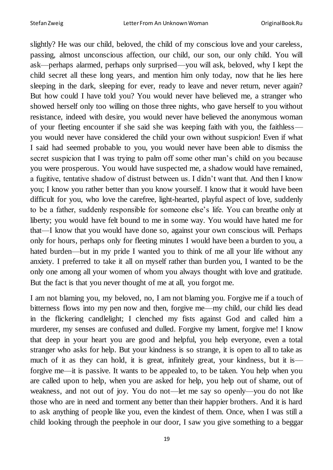slightly? He was our child, beloved, the child of my conscious love and your careless, passing, almost unconscious affection, our child, our son, our only child. You will ask—perhaps alarmed, perhaps only surprised—you will ask, beloved, why I kept the child secret all these long years, and mention him only today, now that he lies here sleeping in the dark, sleeping for ever, ready to leave and never return, never again? But how could I have told you? You would never have believed me, a stranger who showed herself only too willing on those three nights, who gave herself to you without resistance, indeed with desire, you would never have believed the anonymous woman of your fleeting encounter if she said she was keeping faith with you, the faithless you would never have considered the child your own without suspicion! Even if what I said had seemed probable to you, you would never have been able to dismiss the secret suspicion that I was trying to palm off some other man's child on you because you were prosperous. You would have suspected me, a shadow would have remained, a fugitive, tentative shadow of distrust between us. I didn't want that. And then I know you; I know you rather better than you know yourself. I know that it would have been difficult for you, who love the carefree, light-hearted, playful aspect of love, suddenly to be a father, suddenly responsible for someone else's life. You can breathe only at liberty; you would have felt bound to me in some way. You would have hated me for that—I know that you would have done so, against your own conscious will. Perhaps only for hours, perhaps only for fleeting minutes I would have been a burden to you, a hated burden—but in my pride I wanted you to think of me all your life without any anxiety. I preferred to take it all on myself rather than burden you, I wanted to be the only one among all your women of whom you always thought with love and gratitude. But the fact is that you never thought of me at all, you forgot me.

I am not blaming you, my beloved, no, I am not blaming you. Forgive me if a touch of bitterness flows into my pen now and then, forgive me—my child, our child lies dead in the flickering candlelight; I clenched my fists against God and called him a murderer, my senses are confused and dulled. Forgive my lament, forgive me! I know that deep in your heart you are good and helpful, you help everyone, even a total stranger who asks for help. But your kindness is so strange, it is open to all to take as much of it as they can hold, it is great, infinitely great, your kindness, but it is forgive me—it is passive. It wants to be appealed to, to be taken. You help when you are called upon to help, when you are asked for help, you help out of shame, out of weakness, and not out of joy. You do not—let me say so openly—you do not like those who are in need and torment any better than their happier brothers. And it is hard to ask anything of people like you, even the kindest of them. Once, when I was still a child looking through the peephole in our door, I saw you give something to a beggar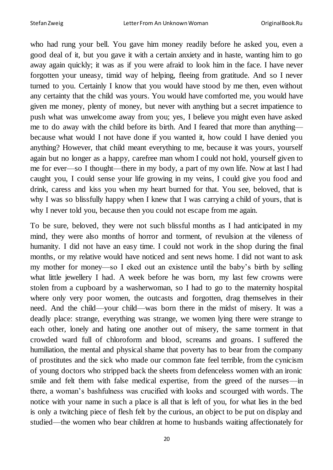who had rung your bell. You gave him money readily before he asked you, even a good deal of it, but you gave it with a certain anxiety and in haste, wanting him to go away again quickly; it was as if you were afraid to look him in the face. I have never forgotten your uneasy, timid way of helping, fleeing from gratitude. And so I never turned to you. Certainly I know that you would have stood by me then, even without any certainty that the child was yours. You would have comforted me, you would have given me money, plenty of money, but never with anything but a secret impatience to push what was unwelcome away from you; yes, I believe you might even have asked me to do away with the child before its birth. And I feared that more than anything because what would I not have done if you wanted it, how could I have denied you anything? However, that child meant everything to me, because it was yours, yourself again but no longer as a happy, carefree man whom I could not hold, yourself given to me for ever—so I thought—there in my body, a part of my own life. Now at last I had caught you, I could sense your life growing in my veins, I could give you food and drink, caress and kiss you when my heart burned for that. You see, beloved, that is why I was so blissfully happy when I knew that I was carrying a child of yours, that is why I never told you, because then you could not escape from me again.

To be sure, beloved, they were not such blissful months as I had anticipated in my mind, they were also months of horror and torment, of revulsion at the vileness of humanity. I did not have an easy time. I could not work in the shop during the final months, or my relative would have noticed and sent news home. I did not want to ask my mother for money—so I eked out an existence until the baby's birth by selling what little jewellery I had. A week before he was born, my last few crowns were stolen from a cupboard by a washerwoman, so I had to go to the maternity hospital where only very poor women, the outcasts and forgotten, drag themselves in their need. And the child—your child—was born there in the midst of misery. It was a deadly place: strange, everything was strange, we women lying there were strange to each other, lonely and hating one another out of misery, the same torment in that crowded ward full of chloroform and blood, screams and groans. I suffered the humiliation, the mental and physical shame that poverty has to bear from the company of prostitutes and the sick who made our common fate feel terrible, from the cynicism of young doctors who stripped back the sheets from defenceless women with an ironic smile and felt them with false medical expertise, from the greed of the nurses—in there, a woman's bashfulness was crucified with looks and scourged with words. The notice with your name in such a place is all that is left of you, for what lies in the bed is only a twitching piece of flesh felt by the curious, an object to be put on display and studied—the women who bear children at home to husbands waiting affectionately for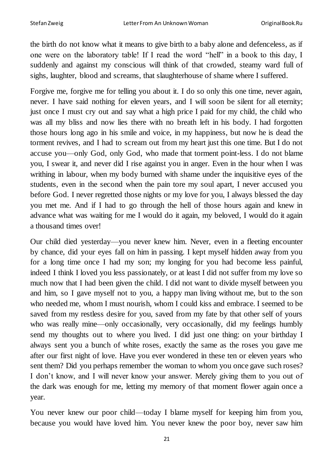the birth do not know what it means to give birth to a baby alone and defenceless, as if one were on the laboratory table! If I read the word "hell" in a book to this day, I suddenly and against my conscious will think of that crowded, steamy ward full of sighs, laughter, blood and screams, that slaughterhouse of shame where I suffered.

Forgive me, forgive me for telling you about it. I do so only this one time, never again, never. I have said nothing for eleven years, and I will soon be silent for all eternity; just once I must cry out and say what a high price I paid for my child, the child who was all my bliss and now lies there with no breath left in his body. I had forgotten those hours long ago in his smile and voice, in my happiness, but now he is dead the torment revives, and I had to scream out from my heart just this one time. But I do not accuse you—only God, only God, who made that torment point-less. I do not blame you, I swear it, and never did I rise against you in anger. Even in the hour when I was writhing in labour, when my body burned with shame under the inquisitive eyes of the students, even in the second when the pain tore my soul apart, I never accused you before God. I never regretted those nights or my love for you, I always blessed the day you met me. And if I had to go through the hell of those hours again and knew in advance what was waiting for me I would do it again, my beloved, I would do it again a thousand times over!

Our child died yesterday—you never knew him. Never, even in a fleeting encounter by chance, did your eyes fall on him in passing. I kept myself hidden away from you for a long time once I had my son; my longing for you had become less painful, indeed I think I loved you less passionately, or at least I did not suffer from my love so much now that I had been given the child. I did not want to divide myself between you and him, so I gave myself not to you, a happy man living without me, but to the son who needed me, whom I must nourish, whom I could kiss and embrace. I seemed to be saved from my restless desire for you, saved from my fate by that other self of yours who was really mine—only occasionally, very occasionally, did my feelings humbly send my thoughts out to where you lived. I did just one thing: on your birthday I always sent you a bunch of white roses, exactly the same as the roses you gave me after our first night of love. Have you ever wondered in these ten or eleven years who sent them? Did you perhaps remember the woman to whom you once gave such roses? I don't know, and I will never know your answer. Merely giving them to you out of the dark was enough for me, letting my memory of that moment flower again once a year.

You never knew our poor child—today I blame myself for keeping him from you, because you would have loved him. You never knew the poor boy, never saw him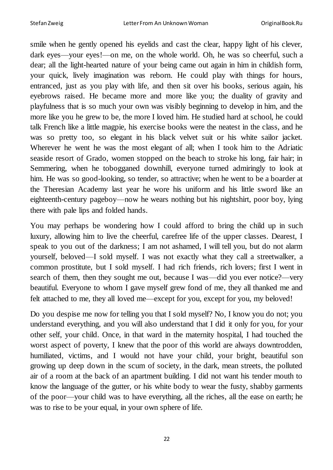smile when he gently opened his eyelids and cast the clear, happy light of his clever, dark eyes—your eyes!—on me, on the whole world. Oh, he was so cheerful, such a dear; all the light-hearted nature of your being came out again in him in childish form, your quick, lively imagination was reborn. He could play with things for hours, entranced, just as you play with life, and then sit over his books, serious again, his eyebrows raised. He became more and more like you; the duality of gravity and playfulness that is so much your own was visibly beginning to develop in him, and the more like you he grew to be, the more I loved him. He studied hard at school, he could talk French like a little magpie, his exercise books were the neatest in the class, and he was so pretty too, so elegant in his black velvet suit or his white sailor jacket. Wherever he went he was the most elegant of all; when I took him to the Adriatic seaside resort of Grado, women stopped on the beach to stroke his long, fair hair; in Semmering, when he tobogganed downhill, everyone turned admiringly to look at him. He was so good-looking, so tender, so attractive; when he went to be a boarder at the Theresian Academy last year he wore his uniform and his little sword like an eighteenth-century pageboy—now he wears nothing but his nightshirt, poor boy, lying there with pale lips and folded hands.

You may perhaps be wondering how I could afford to bring the child up in such luxury, allowing him to live the cheerful, carefree life of the upper classes. Dearest, I speak to you out of the darkness; I am not ashamed, I will tell you, but do not alarm yourself, beloved—I sold myself. I was not exactly what they call a streetwalker, a common prostitute, but I sold myself. I had rich friends, rich lovers; first I went in search of them, then they sought me out, because I was—did you ever notice?—very beautiful. Everyone to whom I gave myself grew fond of me, they all thanked me and felt attached to me, they all loved me—except for you, except for you, my beloved!

Do you despise me now for telling you that I sold myself? No, I know you do not; you understand everything, and you will also understand that I did it only for you, for your other self, your child. Once, in that ward in the maternity hospital, I had touched the worst aspect of poverty, I knew that the poor of this world are always downtrodden, humiliated, victims, and I would not have your child, your bright, beautiful son growing up deep down in the scum of society, in the dark, mean streets, the polluted air of a room at the back of an apartment building. I did not want his tender mouth to know the language of the gutter, or his white body to wear the fusty, shabby garments of the poor—your child was to have everything, all the riches, all the ease on earth; he was to rise to be your equal, in your own sphere of life.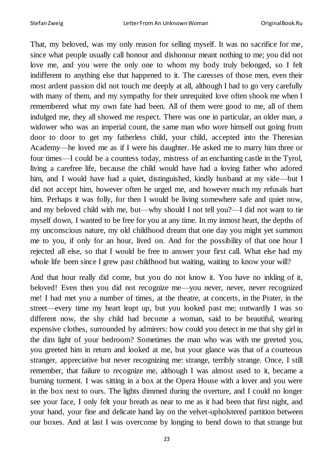That, my beloved, was my only reason for selling myself. It was no sacrifice for me, since what people usually call honour and dishonour meant nothing to me; you did not love me, and you were the only one to whom my body truly belonged, so I felt indifferent to anything else that happened to it. The caresses of those men, even their most ardent passion did not touch me deeply at all, although I had to go very carefully with many of them, and my sympathy for their unrequited love often shook me when I remembered what my own fate had been. All of them were good to me, all of them indulged me, they all showed me respect. There was one in particular, an older man, a widower who was an imperial count, the same man who wore himself out going from door to door to get my fatherless child, your child, accepted into the Theresian Academy—he loved me as if I were his daughter. He asked me to marry him three or four times—I could be a countess today, mistress of an enchanting castle in the Tyrol, living a carefree life, because the child would have had a loving father who adored him, and I would have had a quiet, distinguished, kindly husband at my side—but I did not accept him, however often he urged me, and however much my refusals hurt him. Perhaps it was folly, for then I would be living somewhere safe and quiet now, and my beloved child with me, but—why should I not tell you?—I did not want to tie myself down, I wanted to be free for you at any time. In my inmost heart, the depths of my unconscious nature, my old childhood dream that one day you might yet summon me to you, if only for an hour, lived on. And for the possibility of that one hour I rejected all else, so that I would be free to answer your first call. What else had my whole life been since I grew past childhood but waiting, waiting to know your will?

And that hour really did come, but you do not know it. You have no inkling of it, beloved! Even then you did not recognize me—you never, never, never recognized me! I had met you a number of times, at the theatre, at concerts, in the Prater, in the street—every time my heart leapt up, but you looked past me; outwardly I was so different now, the shy child had become a woman, said to be beautiful, wearing expensive clothes, surrounded by admirers: how could you detect in me that shy girl in the dim light of your bedroom? Sometimes the man who was with me greeted you, you greeted him in return and looked at me, but your glance was that of a courteous stranger, appreciative but never recognizing me: strange, terribly strange. Once, I still remember, that failure to recognize me, although I was almost used to it, became a burning torment. I was sitting in a box at the Opera House with a lover and you were in the box next to ours. The lights dimmed during the overture, and I could no longer see your face, I only felt your breath as near to me as it had been that first night, and your hand, your fine and delicate hand lay on the velvet-upholstered partition between our boxes. And at last I was overcome by longing to bend down to that strange but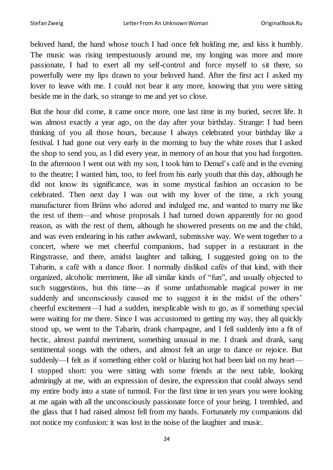beloved hand, the hand whose touch I had once felt holding me, and kiss it humbly. The music was rising tempestuously around me, my longing was more and more passionate, I had to exert all my self-control and force myself to sit there, so powerfully were my lips drawn to your beloved hand. After the first act I asked my lover to leave with me. I could not bear it any more, knowing that you were sitting beside me in the dark, so strange to me and yet so close.

But the hour did come, it came once more, one last time in my buried, secret life. It was almost exactly a year ago, on the day after your birthday. Strange: I had been thinking of you all those hours, because I always celebrated your birthday like a festival. I had gone out very early in the morning to buy the white roses that I asked the shop to send you, as I did every year, in memory of an hour that you had forgotten. In the afternoon I went out with my son, I took him to Demel's café and in the evening to the theatre; I wanted him, too, to feel from his early youth that this day, although he did not know its significance, was in some mystical fashion an occasion to be celebrated. Then next day I was out with my lover of the time, a rich young manufacturer from Brünn who adored and indulged me, and wanted to marry me like the rest of them—and whose proposals I had turned down apparently for no good reason, as with the rest of them, although he showered presents on me and the child, and was even endearing in his rather awkward, submissive way. We went together to a concert, where we met cheerful companions, had supper in a restaurant in the Ringstrasse, and there, amidst laughter and talking, I suggested going on to the Tabarin, a café with a dance floor. I normally disliked cafés of that kind, with their organized, alcoholic merriment, like all similar kinds of "fun", and usually objected to such suggestions, but this time—as if some unfathomable magical power in me suddenly and unconsciously caused me to suggest it in the midst of the others' cheerful excitement—I had a sudden, inexplicable wish to go, as if something special were waiting for me there. Since I was accustomed to getting my way, they all quickly stood up, we went to the Tabarin, drank champagne, and I fell suddenly into a fit of hectic, almost painful merriment, something unusual in me. I drank and drank, sang sentimental songs with the others, and almost felt an urge to dance or rejoice. But suddenly—I felt as if something either cold or blazing hot had been laid on my heart— I stopped short: you were sitting with some friends at the next table, looking admiringly at me, with an expression of desire, the expression that could always send my entire body into a state of turmoil. For the first time in ten years you were looking at me again with all the unconsciously passionate force of your being. I trembled, and the glass that I had raised almost fell from my hands. Fortunately my companions did not notice my confusion: it was lost in the noise of the laughter and music.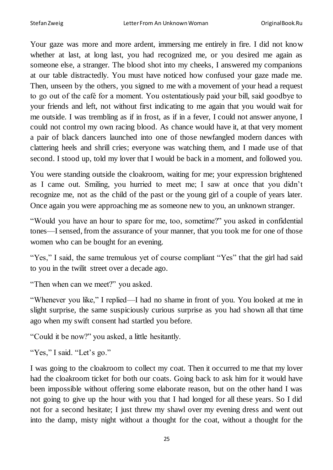Your gaze was more and more ardent, immersing me entirely in fire. I did not know whether at last, at long last, you had recognized me, or you desired me again as someone else, a stranger. The blood shot into my cheeks, I answered my companions at our table distractedly. You must have noticed how confused your gaze made me. Then, unseen by the others, you signed to me with a movement of your head a request to go out of the café for a moment. You ostentatiously paid your bill, said goodbye to your friends and left, not without first indicating to me again that you would wait for me outside. I was trembling as if in frost, as if in a fever, I could not answer anyone, I could not control my own racing blood. As chance would have it, at that very moment a pair of black dancers launched into one of those newfangled modern dances with clattering heels and shrill cries; everyone was watching them, and I made use of that second. I stood up, told my lover that I would be back in a moment, and followed you.

You were standing outside the cloakroom, waiting for me; your expression brightened as I came out. Smiling, you hurried to meet me; I saw at once that you didn't recognize me, not as the child of the past or the young girl of a couple of years later. Once again you were approaching me as someone new to you, an unknown stranger.

"Would you have an hour to spare for me, too, sometime?" you asked in confidential tones—I sensed, from the assurance of your manner, that you took me for one of those women who can be bought for an evening.

"Yes," I said, the same tremulous yet of course compliant "Yes" that the girl had said to you in the twilit street over a decade ago.

"Then when can we meet?" you asked.

"Whenever you like," I replied—I had no shame in front of you. You looked at me in slight surprise, the same suspiciously curious surprise as you had shown all that time ago when my swift consent had startled you before.

"Could it be now?" you asked, a little hesitantly.

"Yes," I said. "Let's go."

I was going to the cloakroom to collect my coat. Then it occurred to me that my lover had the cloakroom ticket for both our coats. Going back to ask him for it would have been impossible without offering some elaborate reason, but on the other hand I was not going to give up the hour with you that I had longed for all these years. So I did not for a second hesitate; I just threw my shawl over my evening dress and went out into the damp, misty night without a thought for the coat, without a thought for the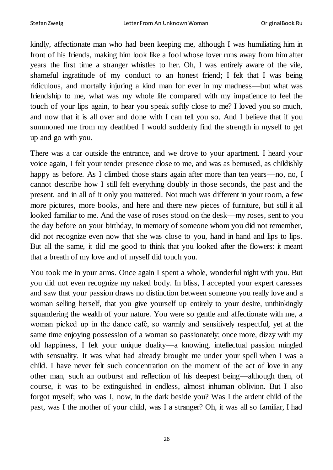kindly, affectionate man who had been keeping me, although I was humiliating him in front of his friends, making him look like a fool whose lover runs away from him after years the first time a stranger whistles to her. Oh, I was entirely aware of the vile, shameful ingratitude of my conduct to an honest friend; I felt that I was being ridiculous, and mortally injuring a kind man for ever in my madness—but what was friendship to me, what was my whole life compared with my impatience to feel the touch of your lips again, to hear you speak softly close to me? I loved you so much, and now that it is all over and done with I can tell you so. And I believe that if you summoned me from my deathbed I would suddenly find the strength in myself to get up and go with you.

There was a car outside the entrance, and we drove to your apartment. I heard your voice again, I felt your tender presence close to me, and was as bemused, as childishly happy as before. As I climbed those stairs again after more than ten years—no, no, I cannot describe how I still felt everything doubly in those seconds, the past and the present, and in all of it only you mattered. Not much was different in your room, a few more pictures, more books, and here and there new pieces of furniture, but still it all looked familiar to me. And the vase of roses stood on the desk—my roses, sent to you the day before on your birthday, in memory of someone whom you did not remember, did not recognize even now that she was close to you, hand in hand and lips to lips. But all the same, it did me good to think that you looked after the flowers: it meant that a breath of my love and of myself did touch you.

You took me in your arms. Once again I spent a whole, wonderful night with you. But you did not even recognize my naked body. In bliss, I accepted your expert caresses and saw that your passion draws no distinction between someone you really love and a woman selling herself, that you give yourself up entirely to your desire, unthinkingly squandering the wealth of your nature. You were so gentle and affectionate with me, a woman picked up in the dance café, so warmly and sensitively respectful, yet at the same time enjoying possession of a woman so passionately; once more, dizzy with my old happiness, I felt your unique duality—a knowing, intellectual passion mingled with sensuality. It was what had already brought me under your spell when I was a child. I have never felt such concentration on the moment of the act of love in any other man, such an outburst and reflection of his deepest being—although then, of course, it was to be extinguished in endless, almost inhuman oblivion. But I also forgot myself; who was I, now, in the dark beside you? Was I the ardent child of the past, was I the mother of your child, was I a stranger? Oh, it was all so familiar, I had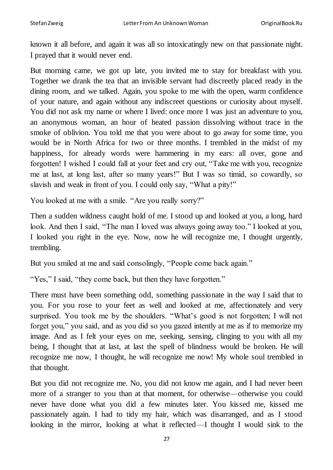known it all before, and again it was all so intoxicatingly new on that passionate night. I prayed that it would never end.

But morning came, we got up late, you invited me to stay for breakfast with you. Together we drank the tea that an invisible servant had discreetly placed ready in the dining room, and we talked. Again, you spoke to me with the open, warm confidence of your nature, and again without any indiscreet questions or curiosity about myself. You did not ask my name or where I lived: once more I was just an adventure to you, an anonymous woman, an hour of heated passion dissolving without trace in the smoke of oblivion. You told me that you were about to go away for some time, you would be in North Africa for two or three months. I trembled in the midst of my happiness, for already words were hammering in my ears: all over, gone and forgotten! I wished I could fall at your feet and cry out, "Take me with you, recognize me at last, at long last, after so many years!" But I was so timid, so cowardly, so slavish and weak in front of you. I could only say, "What a pity!"

You looked at me with a smile. "Are you really sorry?"

Then a sudden wildness caught hold of me. I stood up and looked at you, a long, hard look. And then I said, "The man I loved was always going away too." I looked at you, I looked you right in the eye. Now, now he will recognize me, I thought urgently, trembling.

But you smiled at me and said consolingly, "People come back again."

"Yes," I said, "they come back, but then they have forgotten."

There must have been something odd, something passionate in the way I said that to you. For you rose to your feet as well and looked at me, affectionately and very surprised. You took me by the shoulders. "What's good is not forgotten; I will not forget you," you said, and as you did so you gazed intently at me as if to memorize my image. And as I felt your eyes on me, seeking, sensing, clinging to you with all my being, I thought that at last, at last the spell of blindness would be broken. He will recognize me now, I thought, he will recognize me now! My whole soul trembled in that thought.

But you did not recognize me. No, you did not know me again, and I had never been more of a stranger to you than at that moment, for otherwise—otherwise you could never have done what you did a few minutes later. You kissed me, kissed me passionately again. I had to tidy my hair, which was disarranged, and as I stood looking in the mirror, looking at what it reflected—I thought I would sink to the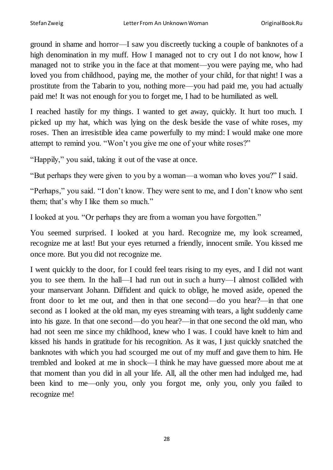ground in shame and horror—I saw you discreetly tucking a couple of banknotes of a high denomination in my muff. How I managed not to cry out I do not know, how I managed not to strike you in the face at that moment—you were paying me, who had loved you from childhood, paying me, the mother of your child, for that night! I was a prostitute from the Tabarin to you, nothing more—you had paid me, you had actually paid me! It was not enough for you to forget me, I had to be humiliated as well.

I reached hastily for my things. I wanted to get away, quickly. It hurt too much. I picked up my hat, which was lying on the desk beside the vase of white roses, my roses. Then an irresistible idea came powerfully to my mind: I would make one more attempt to remind you. "Won't you give me one of your white roses?"

"Happily," you said, taking it out of the vase at once.

"But perhaps they were given to you by a woman—a woman who loves you?" I said.

"Perhaps," you said. "I don't know. They were sent to me, and I don't know who sent them; that's why I like them so much."

I looked at you. "Or perhaps they are from a woman you have forgotten."

You seemed surprised. I looked at you hard. Recognize me, my look screamed, recognize me at last! But your eyes returned a friendly, innocent smile. You kissed me once more. But you did not recognize me.

I went quickly to the door, for I could feel tears rising to my eyes, and I did not want you to see them. In the hall—I had run out in such a hurry—I almost collided with your manservant Johann. Diffident and quick to oblige, he moved aside, opened the front door to let me out, and then in that one second—do you hear?—in that one second as I looked at the old man, my eyes streaming with tears, a light suddenly came into his gaze. In that one second—do you hear?—in that one second the old man, who had not seen me since my childhood, knew who I was. I could have knelt to him and kissed his hands in gratitude for his recognition. As it was, I just quickly snatched the banknotes with which you had scourged me out of my muff and gave them to him. He trembled and looked at me in shock—I think he may have guessed more about me at that moment than you did in all your life. All, all the other men had indulged me, had been kind to me—only you, only you forgot me, only you, only you failed to recognize me!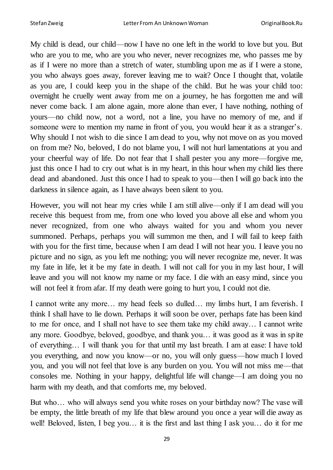My child is dead, our child—now I have no one left in the world to love but you. But who are you to me, who are you who never, never recognizes me, who passes me by as if I were no more than a stretch of water, stumbling upon me as if I were a stone, you who always goes away, forever leaving me to wait? Once I thought that, volatile as you are, I could keep you in the shape of the child. But he was your child too: overnight he cruelly went away from me on a journey, he has forgotten me and will never come back. I am alone again, more alone than ever, I have nothing, nothing of yours—no child now, not a word, not a line, you have no memory of me, and if someone were to mention my name in front of you, you would hear it as a stranger's. Why should I not wish to die since I am dead to you, why not move on as you moved on from me? No, beloved, I do not blame you, I will not hurl lamentations at you and your cheerful way of life. Do not fear that I shall pester you any more—forgive me, just this once I had to cry out what is in my heart, in this hour when my child lies there dead and abandoned. Just this once I had to speak to you—then I will go back into the darkness in silence again, as I have always been silent to you.

However, you will not hear my cries while I am still alive—only if I am dead will you receive this bequest from me, from one who loved you above all else and whom you never recognized, from one who always waited for you and whom you never summoned. Perhaps, perhaps you will summon me then, and I will fail to keep faith with you for the first time, because when I am dead I will not hear you. I leave you no picture and no sign, as you left me nothing; you will never recognize me, never. It was my fate in life, let it be my fate in death. I will not call for you in my last hour, I will leave and you will not know my name or my face. I die with an easy mind, since you will not feel it from afar. If my death were going to hurt you, I could not die.

I cannot write any more… my head feels so dulled… my limbs hurt, I am feverish. I think I shall have to lie down. Perhaps it will soon be over, perhaps fate has been kind to me for once, and I shall not have to see them take my child away… I cannot write any more. Goodbye, beloved, goodbye, and thank you… it was good as it was in spite of everything… I will thank you for that until my last breath. I am at ease: I have told you everything, and now you know—or no, you will only guess—how much I loved you, and you will not feel that love is any burden on you. You will not miss me—that consoles me. Nothing in your happy, delightful life will change—I am doing you no harm with my death, and that comforts me, my beloved.

But who… who will always send you white roses on your birthday now? The vase will be empty, the little breath of my life that blew around you once a year will die away as well! Beloved, listen, I beg you… it is the first and last thing I ask you… do it for me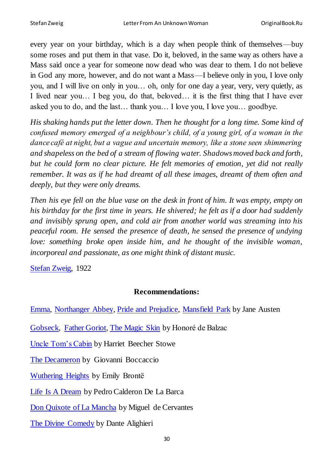every year on your birthday, which is a day when people think of themselves—buy some roses and put them in that vase. Do it, beloved, in the same way as others have a Mass said once a year for someone now dead who was dear to them. I do not believe in God any more, however, and do not want a Mass—I believe only in you, I love only you, and I will live on only in you… oh, only for one day a year, very, very quietly, as I lived near you… I beg you, do that, beloved… it is the first thing that I have ever asked you to do, and the last… thank you… I love you, I love you… goodbye.

*His shaking hands put the letter down. Then he thought for a long time. Some kind of confused memory emerged of a neighbour's child, of a young girl, of a woman in the dance café at night, but a vague and uncertain memory, like a stone seen shimmering and shapeless on the bed of a stream of flowing water. Shadows moved back and forth, but he could form no clear picture. He felt memories of emotion, yet did not really remember. It was as if he had dreamt of all these images, dreamt of them often and deeply, but they were only dreams.*

*Then his eye fell on the blue vase on the desk in front of him. It was empty, empty on his birthday for the first time in years. He shivered; he felt as if a door had suddenly and invisibly sprung open, and cold air from another world was streaming into his peaceful room. He sensed the presence of death, he sensed the presence of undying love: something broke open inside him, and he thought of the invisible woman, incorporeal and passionate, as one might think of distant music.*

[Stefan Zweig,](http://originalbook.ru/zweig-stefan/) 1922

## **Recommendations:**

[Emma,](http://originalbook.ru/emma-by-jane-austen-free-download/) [Northanger Abbey,](http://originalbook.ru/nortengerskoe-abbatstvo-english-northanger-abbey-by-jane-austen/) [Pride and Prejudice,](http://originalbook.ru/pride-and-prejudice-jane-austen-english-gordost-i-predubezhdenie-dzhejn-ostin/) [Mansfield Park](http://originalbook.ru/mansfield-park-jane-austen-english/) by Jane Austen

[Gobseck](http://originalbook.ru/gobseck-by-honore-de-balzac-na-anglijskom-yazyke/), [Father Goriot,](http://originalbook.ru/otets-gorio-english-father-goriot-honore-de-balzac/) [The Magic Skin](http://originalbook.ru/the-magic-skin-by-honore-de-balzac-english-shagrenevaya-kozha-o-de-balzak/) by Honoré de Balzac

[Uncle Tom's Cabin](http://originalbook.ru/uncle-tom-s-cabin-harriet-beecher-stowe-english/) by Harriet Beecher Stowe

[The Decameron](http://originalbook.ru/dekameron-english-the-decameron-giovanni-boccaccio/) by Giovanni Boccaccio

[Wuthering Heights](http://originalbook.ru/wuthering-heights-emily-bronte-english/) by Emily Brontë

[Life Is A Dream](http://originalbook.ru/life-is-a-dream-pedro-calderon-de-la-barca-english/) by Pedro Calderon De La Barca

[Don Quixote of La Mancha](http://originalbook.ru/don-quixote-by-miguel-de-cervantes-english-don-kihot-migel-de-servantes/) by Miguel de Cervantes

[The Divine Comedy](http://originalbook.ru/the-divine-comedy-by-dante-alighieri-english/) by Dante Alighieri